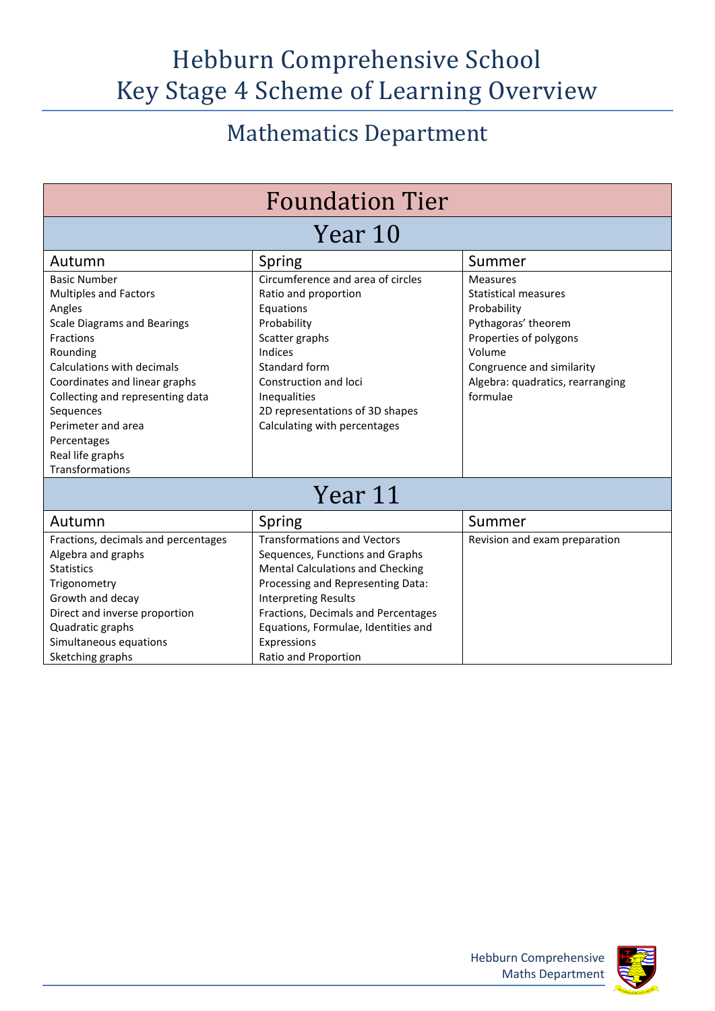## Hebburn Comprehensive School Key Stage 4 Scheme of Learning Overview

## Mathematics Department

| <b>Foundation Tier</b>                                                                                                                                                                                                                                                                                                   |                                                                                                                                                                                                                                                                                                           |                                                                                                                                                                                                       |  |
|--------------------------------------------------------------------------------------------------------------------------------------------------------------------------------------------------------------------------------------------------------------------------------------------------------------------------|-----------------------------------------------------------------------------------------------------------------------------------------------------------------------------------------------------------------------------------------------------------------------------------------------------------|-------------------------------------------------------------------------------------------------------------------------------------------------------------------------------------------------------|--|
| Year 10                                                                                                                                                                                                                                                                                                                  |                                                                                                                                                                                                                                                                                                           |                                                                                                                                                                                                       |  |
| Autumn                                                                                                                                                                                                                                                                                                                   | Spring                                                                                                                                                                                                                                                                                                    | Summer                                                                                                                                                                                                |  |
| <b>Basic Number</b><br><b>Multiples and Factors</b><br>Angles<br><b>Scale Diagrams and Bearings</b><br>Fractions<br>Rounding<br>Calculations with decimals<br>Coordinates and linear graphs<br>Collecting and representing data<br>Sequences<br>Perimeter and area<br>Percentages<br>Real life graphs<br>Transformations | Circumference and area of circles<br>Ratio and proportion<br>Equations<br>Probability<br>Scatter graphs<br>Indices<br>Standard form<br>Construction and loci<br>Inequalities<br>2D representations of 3D shapes<br>Calculating with percentages                                                           | <b>Measures</b><br><b>Statistical measures</b><br>Probability<br>Pythagoras' theorem<br>Properties of polygons<br>Volume<br>Congruence and similarity<br>Algebra: quadratics, rearranging<br>formulae |  |
| Year 11                                                                                                                                                                                                                                                                                                                  |                                                                                                                                                                                                                                                                                                           |                                                                                                                                                                                                       |  |
| Autumn                                                                                                                                                                                                                                                                                                                   | Spring                                                                                                                                                                                                                                                                                                    | Summer                                                                                                                                                                                                |  |
| Fractions, decimals and percentages<br>Algebra and graphs<br><b>Statistics</b><br>Trigonometry<br>Growth and decay<br>Direct and inverse proportion<br>Quadratic graphs<br>Simultaneous equations<br>Sketching graphs                                                                                                    | <b>Transformations and Vectors</b><br>Sequences, Functions and Graphs<br><b>Mental Calculations and Checking</b><br>Processing and Representing Data:<br><b>Interpreting Results</b><br>Fractions, Decimals and Percentages<br>Equations, Formulae, Identities and<br>Expressions<br>Ratio and Proportion | Revision and exam preparation                                                                                                                                                                         |  |